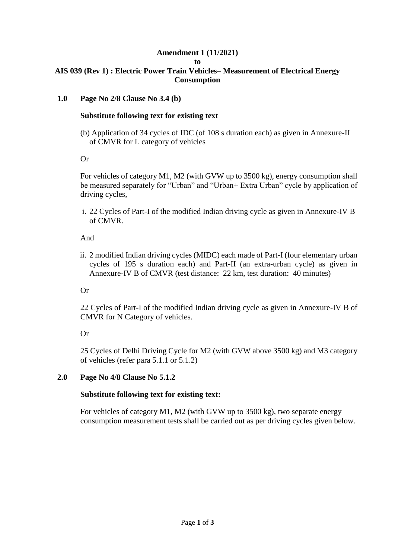# **Amendment 1 (11/2021)**

#### **to**

#### **AIS 039 (Rev 1) : Electric Power Train Vehicles– Measurement of Electrical Energy Consumption**

#### **1.0 Page No 2/8 Clause No 3.4 (b)**

#### **Substitute following text for existing text**

(b) Application of 34 cycles of IDC (of 108 s duration each) as given in Annexure-II of CMVR for L category of vehicles

#### Or

For vehicles of category M1, M2 (with GVW up to 3500 kg), energy consumption shall be measured separately for "Urban" and "Urban+ Extra Urban" cycle by application of driving cycles,

i. 22 Cycles of Part-I of the modified Indian driving cycle as given in Annexure-IV B of CMVR.

#### And

ii. 2 modified Indian driving cycles (MIDC) each made of Part-I (four elementary urban cycles of 195 s duration each) and Part-II (an extra-urban cycle) as given in Annexure-IV B of CMVR (test distance: 22 km, test duration: 40 minutes)

# Or

22 Cycles of Part-I of the modified Indian driving cycle as given in Annexure-IV B of CMVR for N Category of vehicles.

# Or

25 Cycles of Delhi Driving Cycle for M2 (with GVW above 3500 kg) and M3 category of vehicles (refer para 5.1.1 or 5.1.2)

# **2.0 Page No 4/8 Clause No 5.1.2**

# **Substitute following text for existing text:**

For vehicles of category M1, M2 (with GVW up to 3500 kg), two separate energy consumption measurement tests shall be carried out as per driving cycles given below.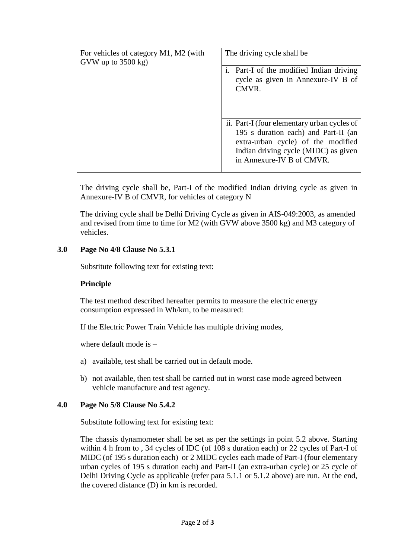| For vehicles of category M1, M2 (with<br>GVW up to $3500$ kg) | The driving cycle shall be                                                                                                                                                                     |
|---------------------------------------------------------------|------------------------------------------------------------------------------------------------------------------------------------------------------------------------------------------------|
|                                                               | i. Part-I of the modified Indian driving<br>cycle as given in Annexure-IV B of<br>CMVR.                                                                                                        |
|                                                               | ii. Part-I (four elementary urban cycles of<br>195 s duration each) and Part-II (an<br>extra-urban cycle) of the modified<br>Indian driving cycle (MIDC) as given<br>in Annexure-IV B of CMVR. |

The driving cycle shall be, Part-I of the modified Indian driving cycle as given in Annexure-IV B of CMVR, for vehicles of category N

The driving cycle shall be Delhi Driving Cycle as given in AIS-049:2003, as amended and revised from time to time for M2 (with GVW above 3500 kg) and M3 category of vehicles.

# **3.0 Page No 4/8 Clause No 5.3.1**

Substitute following text for existing text:

#### **Principle**

The test method described hereafter permits to measure the electric energy consumption expressed in Wh/km, to be measured:

If the Electric Power Train Vehicle has multiple driving modes,

where default mode is –

- a) available, test shall be carried out in default mode.
- b) not available, then test shall be carried out in worst case mode agreed between vehicle manufacture and test agency.

#### **4.0 Page No 5/8 Clause No 5.4.2**

Substitute following text for existing text:

The chassis dynamometer shall be set as per the settings in point 5.2 above. Starting within 4 h from to , 34 cycles of IDC (of 108 s duration each) or 22 cycles of Part-I of MIDC (of 195 s duration each) or 2 MIDC cycles each made of Part-I (four elementary urban cycles of 195 s duration each) and Part-II (an extra-urban cycle) or 25 cycle of Delhi Driving Cycle as applicable (refer para 5.1.1 or 5.1.2 above) are run. At the end, the covered distance (D) in km is recorded.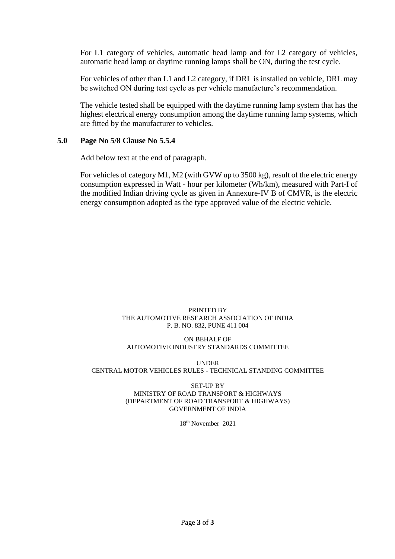For L1 category of vehicles, automatic head lamp and for L2 category of vehicles, automatic head lamp or daytime running lamps shall be ON, during the test cycle.

For vehicles of other than L1 and L2 category, if DRL is installed on vehicle, DRL may be switched ON during test cycle as per vehicle manufacture's recommendation.

The vehicle tested shall be equipped with the daytime running lamp system that has the highest electrical energy consumption among the daytime running lamp systems, which are fitted by the manufacturer to vehicles.

#### **5.0 Page No 5/8 Clause No 5.5.4**

Add below text at the end of paragraph.

For vehicles of category M1, M2 (with GVW up to 3500 kg), result of the electric energy consumption expressed in Watt - hour per kilometer (Wh/km), measured with Part-I of the modified Indian driving cycle as given in Annexure-IV B of CMVR, is the electric energy consumption adopted as the type approved value of the electric vehicle.

#### PRINTED BY THE AUTOMOTIVE RESEARCH ASSOCIATION OF INDIA P. B. NO. 832, PUNE 411 004

#### ON BEHALF OF AUTOMOTIVE INDUSTRY STANDARDS COMMITTEE

UNDER CENTRAL MOTOR VEHICLES RULES - TECHNICAL STANDING COMMITTEE

#### SET-UP BY MINISTRY OF ROAD TRANSPORT & HIGHWAYS (DEPARTMENT OF ROAD TRANSPORT & HIGHWAYS) GOVERNMENT OF INDIA

18th November 2021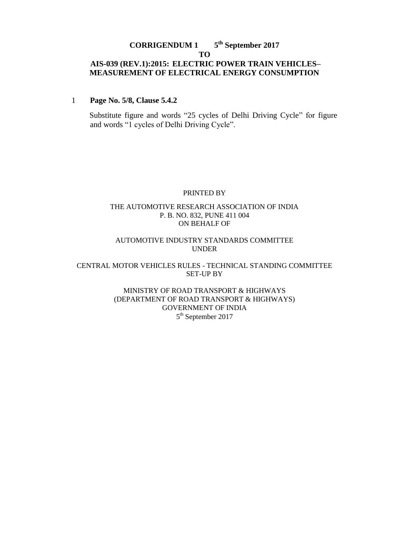#### **CORRIGENDUM 1 th September 2017 TO AIS-039 (REV.1):2015: ELECTRIC POWER TRAIN VEHICLES– MEASUREMENT OF ELECTRICAL ENERGY CONSUMPTION**

#### 1 **Page No. 5/8, Clause 5.4.2**

Substitute figure and words "25 cycles of Delhi Driving Cycle" for figure and words "1 cycles of Delhi Driving Cycle".

#### PRINTED BY

#### THE AUTOMOTIVE RESEARCH ASSOCIATION OF INDIA P. B. NO. 832, PUNE 411 004 ON BEHALF OF

#### AUTOMOTIVE INDUSTRY STANDARDS COMMITTEE UNDER

#### CENTRAL MOTOR VEHICLES RULES - TECHNICAL STANDING COMMITTEE SET-UP BY

#### MINISTRY OF ROAD TRANSPORT & HIGHWAYS (DEPARTMENT OF ROAD TRANSPORT & HIGHWAYS) GOVERNMENT OF INDIA 5<sup>th</sup> September 2017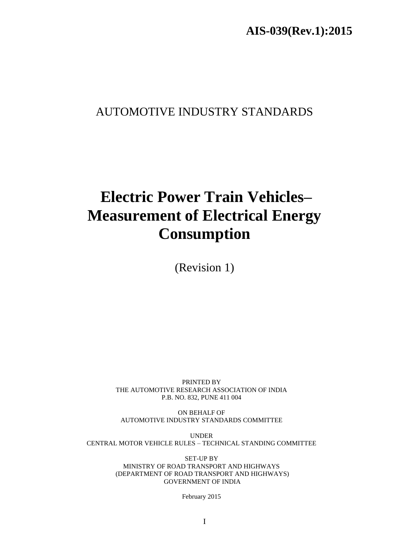# AUTOMOTIVE INDUSTRY STANDARDS

# **Electric Power Train Vehicles– Measurement of Electrical Energy Consumption**

(Revision 1)

PRINTED BY THE AUTOMOTIVE RESEARCH ASSOCIATION OF INDIA P.B. NO. 832, PUNE 411 004

ON BEHALF OF AUTOMOTIVE INDUSTRY STANDARDS COMMITTEE

UNDER CENTRAL MOTOR VEHICLE RULES – TECHNICAL STANDING COMMITTEE

> SET-UP BY MINISTRY OF ROAD TRANSPORT AND HIGHWAYS (DEPARTMENT OF ROAD TRANSPORT AND HIGHWAYS) GOVERNMENT OF INDIA

> > February 2015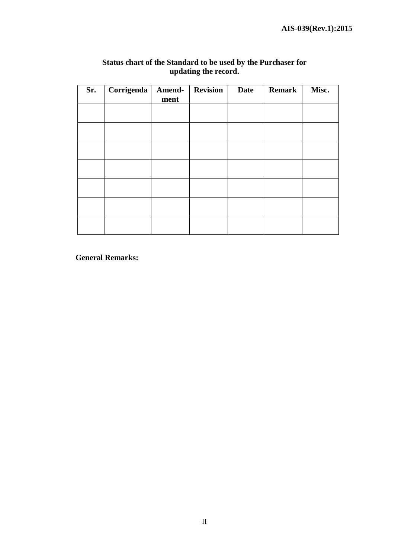$\overline{\phantom{a}}$ 

| Sr. | Corrigenda | Amend- | <b>Revision</b> | <b>Date</b> | <b>Remark</b> | Misc. |
|-----|------------|--------|-----------------|-------------|---------------|-------|
|     |            | ment   |                 |             |               |       |
|     |            |        |                 |             |               |       |
|     |            |        |                 |             |               |       |
|     |            |        |                 |             |               |       |
|     |            |        |                 |             |               |       |
|     |            |        |                 |             |               |       |
|     |            |        |                 |             |               |       |
|     |            |        |                 |             |               |       |
|     |            |        |                 |             |               |       |
|     |            |        |                 |             |               |       |
|     |            |        |                 |             |               |       |
|     |            |        |                 |             |               |       |
|     |            |        |                 |             |               |       |
|     |            |        |                 |             |               |       |
|     |            |        |                 |             |               |       |

#### **Status chart of the Standard to be used by the Purchaser for updating the record.**

 **General Remarks:**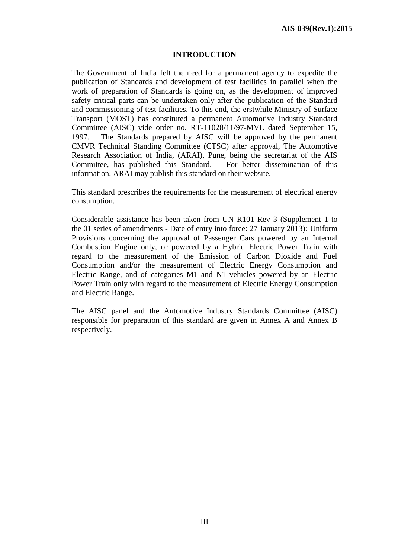#### **INTRODUCTION**

The Government of India felt the need for a permanent agency to expedite the publication of Standards and development of test facilities in parallel when the work of preparation of Standards is going on, as the development of improved safety critical parts can be undertaken only after the publication of the Standard and commissioning of test facilities. To this end, the erstwhile Ministry of Surface Transport (MOST) has constituted a permanent Automotive Industry Standard Committee (AISC) vide order no. RT-11028/11/97-MVL dated September 15, 1997. The Standards prepared by AISC will be approved by the permanent CMVR Technical Standing Committee (CTSC) after approval, The Automotive Research Association of India, (ARAI), Pune, being the secretariat of the AIS Committee, has published this Standard. For better dissemination of this information, ARAI may publish this standard on their website.

This standard prescribes the requirements for the measurement of electrical energy consumption.

Considerable assistance has been taken from UN R101 Rev 3 (Supplement 1 to the 01 series of amendments - Date of entry into force: 27 January 2013): Uniform Provisions concerning the approval of Passenger Cars powered by an Internal Combustion Engine only, or powered by a Hybrid Electric Power Train with regard to the measurement of the Emission of Carbon Dioxide and Fuel Consumption and/or the measurement of Electric Energy Consumption and Electric Range, and of categories M1 and N1 vehicles powered by an Electric Power Train only with regard to the measurement of Electric Energy Consumption and Electric Range.

The AISC panel and the Automotive Industry Standards Committee (AISC) responsible for preparation of this standard are given in Annex A and Annex B respectively.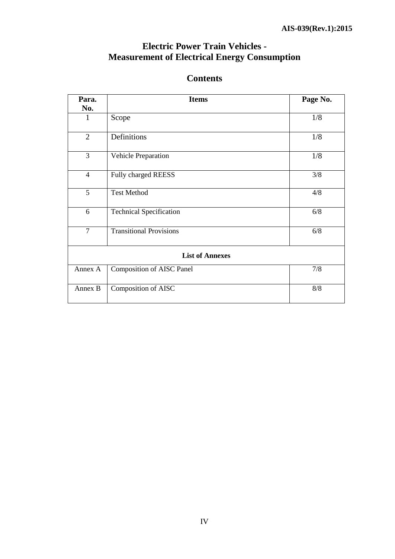# **Electric Power Train Vehicles - Measurement of Electrical Energy Consumption**

# **Contents**

| Para.                  | <b>Items</b>                          | Page No. |  |  |
|------------------------|---------------------------------------|----------|--|--|
| No.                    |                                       |          |  |  |
| 1                      | Scope                                 | 1/8      |  |  |
| 2                      | Definitions                           | 1/8      |  |  |
| $\overline{3}$         | Vehicle Preparation                   | 1/8      |  |  |
| $\overline{4}$         | Fully charged REESS                   | 3/8      |  |  |
| 5                      | <b>Test Method</b>                    | 4/8      |  |  |
| 6                      | <b>Technical Specification</b>        | 6/8      |  |  |
| $\overline{7}$         | <b>Transitional Provisions</b><br>6/8 |          |  |  |
| <b>List of Annexes</b> |                                       |          |  |  |
| Annex A                | <b>Composition of AISC Panel</b>      | 7/8      |  |  |
| Annex B                | Composition of AISC<br>$8/8$          |          |  |  |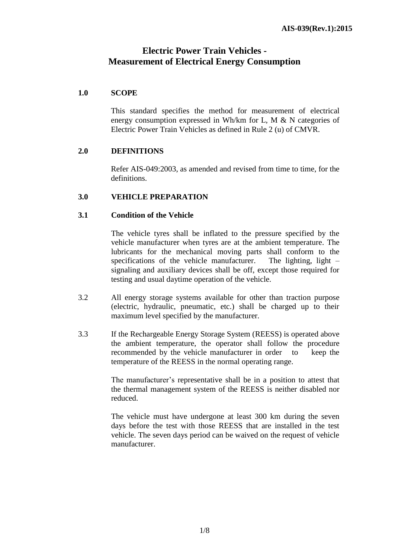# **Electric Power Train Vehicles - Measurement of Electrical Energy Consumption**

#### **1.0 SCOPE**

This standard specifies the method for measurement of electrical energy consumption expressed in Wh/km for L, M & N categories of Electric Power Train Vehicles as defined in Rule 2 (u) of CMVR.

#### **2.0 DEFINITIONS**

Refer AIS-049:2003, as amended and revised from time to time, for the definitions.

#### **3.0 VEHICLE PREPARATION**

#### **3.1 Condition of the Vehicle**

The vehicle tyres shall be inflated to the pressure specified by the vehicle manufacturer when tyres are at the ambient temperature. The lubricants for the mechanical moving parts shall conform to the specifications of the vehicle manufacturer. The lighting, light – signaling and auxiliary devices shall be off, except those required for testing and usual daytime operation of the vehicle.

- 3.2 All energy storage systems available for other than traction purpose (electric, hydraulic, pneumatic, etc.) shall be charged up to their maximum level specified by the manufacturer.
- 3.3 If the Rechargeable Energy Storage System (REESS) is operated above the ambient temperature, the operator shall follow the procedure recommended by the vehicle manufacturer in order to keep the temperature of the REESS in the normal operating range.

The manufacturer's representative shall be in a position to attest that the thermal management system of the REESS is neither disabled nor reduced.

The vehicle must have undergone at least 300 km during the seven days before the test with those REESS that are installed in the test vehicle. The seven days period can be waived on the request of vehicle manufacturer.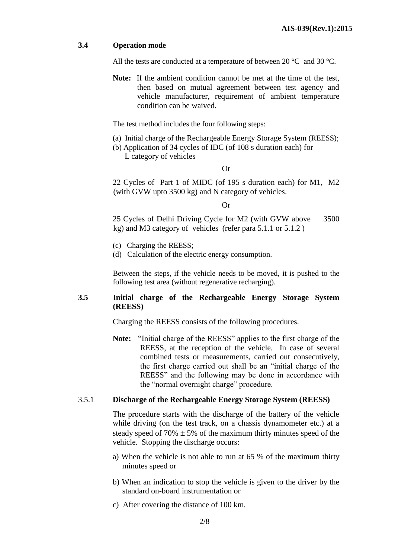#### **3.4 Operation mode**

All the tests are conducted at a temperature of between 20 °C and 30 °C.

**Note:** If the ambient condition cannot be met at the time of the test, then based on mutual agreement between test agency and vehicle manufacturer, requirement of ambient temperature condition can be waived.

The test method includes the four following steps:

- (a) Initial charge of the Rechargeable Energy Storage System (REESS);
- (b) Application of 34 cycles of IDC (of 108 s duration each) for L category of vehicles

Or

22 Cycles of Part 1 of MIDC (of 195 s duration each) for M1, M2 (with GVW upto 3500 kg) and N category of vehicles.

#### Or

25 Cycles of Delhi Driving Cycle for M2 (with GVW above 3500 kg) and M3 category of vehicles (refer para 5.1.1 or 5.1.2 )

- (c) Charging the REESS;
- (d) Calculation of the electric energy consumption.

Between the steps, if the vehicle needs to be moved, it is pushed to the following test area (without regenerative recharging).

#### **3.5 Initial charge of the Rechargeable Energy Storage System (REESS)**

Charging the REESS consists of the following procedures.

**Note:** "Initial charge of the REESS" applies to the first charge of the REESS, at the reception of the vehicle. In case of several combined tests or measurements, carried out consecutively, the first charge carried out shall be an "initial charge of the REESS" and the following may be done in accordance with the "normal overnight charge" procedure.

#### 3.5.1 **Discharge of the Rechargeable Energy Storage System (REESS)**

The procedure starts with the discharge of the battery of the vehicle while driving (on the test track, on a chassis dynamometer etc.) at a steady speed of 70%  $\pm$  5% of the maximum thirty minutes speed of the vehicle. Stopping the discharge occurs:

- a) When the vehicle is not able to run at 65 % of the maximum thirty minutes speed or
- b) When an indication to stop the vehicle is given to the driver by the standard on-board instrumentation or
- c) After covering the distance of 100 km.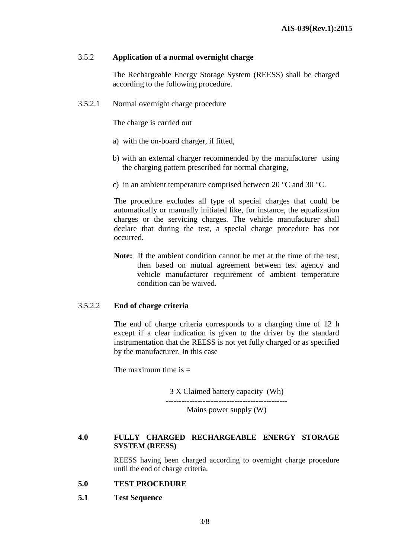#### 3.5.2 **Application of a normal overnight charge**

The Rechargeable Energy Storage System (REESS) shall be charged according to the following procedure.

3.5.2.1 Normal overnight charge procedure

The charge is carried out

- a) with the on-board charger, if fitted,
- b) with an external charger recommended by the manufacturer using the charging pattern prescribed for normal charging,
- c) in an ambient temperature comprised between 20 °C and 30 °C.

The procedure excludes all type of special charges that could be automatically or manually initiated like, for instance, the equalization charges or the servicing charges. The vehicle manufacturer shall declare that during the test, a special charge procedure has not occurred.

**Note:** If the ambient condition cannot be met at the time of the test, then based on mutual agreement between test agency and vehicle manufacturer requirement of ambient temperature condition can be waived.

#### 3.5.2.2 **End of charge criteria**

The end of charge criteria corresponds to a charging time of 12 h except if a clear indication is given to the driver by the standard instrumentation that the REESS is not yet fully charged or as specified by the manufacturer. In this case

The maximum time is  $=$ 

3 X Claimed battery capacity (Wh)

---------------------------------------------- Mains power supply (W)

#### **4.0 FULLY CHARGED RECHARGEABLE ENERGY STORAGE SYSTEM (REESS)**

REESS having been charged according to overnight charge procedure until the end of charge criteria.

#### **5.0 TEST PROCEDURE**

**5.1 Test Sequence**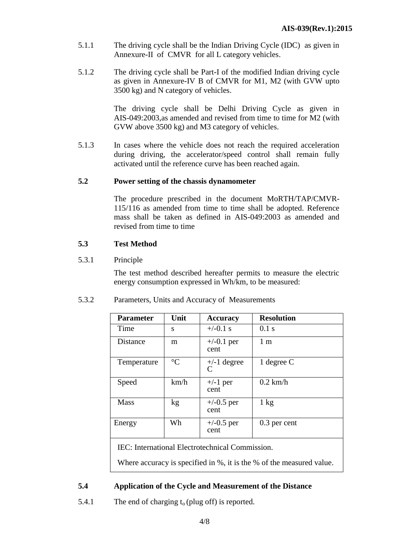- 5.1.1 The driving cycle shall be the Indian Driving Cycle (IDC) as given in Annexure-II of CMVR for all L category vehicles.
- 5.1.2 The driving cycle shall be Part-I of the modified Indian driving cycle as given in Annexure-IV B of CMVR for M1, M2 (with GVW upto 3500 kg) and N category of vehicles.

The driving cycle shall be Delhi Driving Cycle as given in AIS-049:2003,as amended and revised from time to time for M2 (with GVW above 3500 kg) and M3 category of vehicles.

5.1.3 In cases where the vehicle does not reach the required acceleration during driving, the accelerator/speed control shall remain fully activated until the reference curve has been reached again.

#### **5.2 Power setting of the chassis dynamometer**

The procedure prescribed in the document MoRTH/TAP/CMVR-115/116 as amended from time to time shall be adopted. Reference mass shall be taken as defined in AIS-049:2003 as amended and revised from time to time

#### **5.3 Test Method**

#### 5.3.1 Principle

The test method described hereafter permits to measure the electric energy consumption expressed in Wh/km, to be measured:

| <b>Parameter</b> | Unit            | <b>Accuracy</b>                | <b>Resolution</b> |
|------------------|-----------------|--------------------------------|-------------------|
| Time             | S               | $+/-0.1$ s                     | $0.1$ s           |
| Distance         | m               | $+/-0.1$ per<br>cent           | 1 <sub>m</sub>    |
| Temperature      | $\rm ^{\circ}C$ | $+/-1$ degree<br>$\mathcal{C}$ | 1 degree $C$      |
| Speed            | km/h            | $+/-1$ per<br>cent             | $0.2$ km/h        |
| <b>Mass</b>      | kg              | $+/-0.5$ per<br>cent           | $1 \text{ kg}$    |
| Energy           | Wh              | $+/-0.5$ per<br>cent           | 0.3 per cent      |

5.3.2 Parameters, Units and Accuracy of Measurements

IEC: International Electrotechnical Commission.

Where accuracy is specified in %, it is the % of the measured value.

# **5.4 Application of the Cycle and Measurement of the Distance**

5.4.1 The end of charging  $t_0$  (plug off) is reported.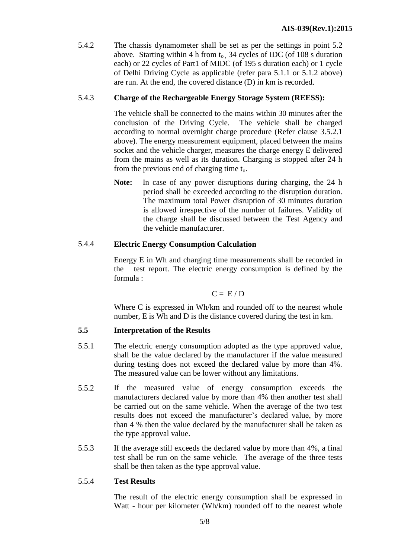5.4.2 The chassis dynamometer shall be set as per the settings in point 5.2 above. Starting within 4 h from  $t_0$  34 cycles of IDC (of 108 s duration each) or 22 cycles of Part1 of MIDC (of 195 s duration each) or 1 cycle of Delhi Driving Cycle as applicable (refer para 5.1.1 or 5.1.2 above) are run. At the end, the covered distance (D) in km is recorded.

# 5.4.3 **Charge of the Rechargeable Energy Storage System (REESS):**

The vehicle shall be connected to the mains within 30 minutes after the conclusion of the Driving Cycle. The vehicle shall be charged according to normal overnight charge procedure (Refer clause 3.5.2.1 above). The energy measurement equipment, placed between the mains socket and the vehicle charger, measures the charge energy E delivered from the mains as well as its duration. Charging is stopped after 24 h from the previous end of charging time  $t_0$ .

**Note:** In case of any power disruptions during charging, the 24 h period shall be exceeded according to the disruption duration. The maximum total Power disruption of 30 minutes duration is allowed irrespective of the number of failures. Validity of the charge shall be discussed between the Test Agency and the vehicle manufacturer.

# 5.4.4 **Electric Energy Consumption Calculation**

Energy E in Wh and charging time measurements shall be recorded in the test report. The electric energy consumption is defined by the formula :

$$
C = E/D
$$

Where C is expressed in Wh/km and rounded off to the nearest whole number, E is Wh and D is the distance covered during the test in km.

# **5.5 Interpretation of the Results**

- 5.5.1 The electric energy consumption adopted as the type approved value, shall be the value declared by the manufacturer if the value measured during testing does not exceed the declared value by more than 4%. The measured value can be lower without any limitations.
- 5.5.2 If the measured value of energy consumption exceeds the manufacturers declared value by more than 4% then another test shall be carried out on the same vehicle. When the average of the two test results does not exceed the manufacturer's declared value, by more than 4 % then the value declared by the manufacturer shall be taken as the type approval value.
- 5.5.3 If the average still exceeds the declared value by more than 4%, a final test shall be run on the same vehicle. The average of the three tests shall be then taken as the type approval value.

# 5.5.4 **Test Results**

The result of the electric energy consumption shall be expressed in Watt - hour per kilometer (Wh/km) rounded off to the nearest whole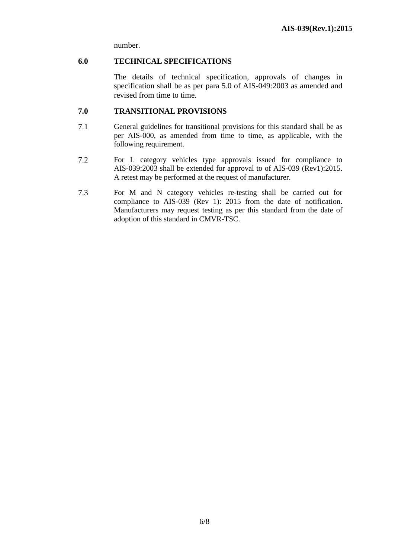number.

#### **6.0 TECHNICAL SPECIFICATIONS**

The details of technical specification, approvals of changes in specification shall be as per para 5.0 of AIS-049:2003 as amended and revised from time to time.

#### **7.0 TRANSITIONAL PROVISIONS**

- 7.1 General guidelines for transitional provisions for this standard shall be as per AIS-000, as amended from time to time, as applicable, with the following requirement.
- 7.2 For L category vehicles type approvals issued for compliance to AIS-039:2003 shall be extended for approval to of AIS-039 (Rev1):2015. A retest may be performed at the request of manufacturer.
- 7.3 For M and N category vehicles re-testing shall be carried out for compliance to AIS-039 (Rev 1): 2015 from the date of notification. Manufacturers may request testing as per this standard from the date of adoption of this standard in CMVR-TSC.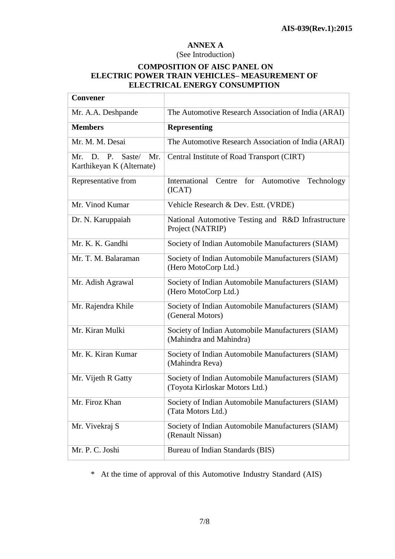# **ANNEX A**

#### (See Introduction)

#### **COMPOSITION OF AISC PANEL ON ELECTRIC POWER TRAIN VEHICLES– MEASUREMENT OF ELECTRICAL ENERGY CONSUMPTION**

| <b>Convener</b>                                               |                                                                                     |
|---------------------------------------------------------------|-------------------------------------------------------------------------------------|
| Mr. A.A. Deshpande                                            | The Automotive Research Association of India (ARAI)                                 |
| <b>Members</b>                                                | <b>Representing</b>                                                                 |
| Mr. M. M. Desai                                               | The Automotive Research Association of India (ARAI)                                 |
| P.<br>Saste/<br>Mr.<br>Mr.<br>D.<br>Karthikeyan K (Alternate) | Central Institute of Road Transport (CIRT)                                          |
| Representative from                                           | International Centre for Automotive<br>Technology<br>(ICAT)                         |
| Mr. Vinod Kumar                                               | Vehicle Research & Dev. Estt. (VRDE)                                                |
| Dr. N. Karuppaiah                                             | National Automotive Testing and R&D Infrastructure<br>Project (NATRIP)              |
| Mr. K. K. Gandhi                                              | Society of Indian Automobile Manufacturers (SIAM)                                   |
| Mr. T. M. Balaraman                                           | Society of Indian Automobile Manufacturers (SIAM)<br>(Hero MotoCorp Ltd.)           |
| Mr. Adish Agrawal                                             | Society of Indian Automobile Manufacturers (SIAM)<br>(Hero MotoCorp Ltd.)           |
| Mr. Rajendra Khile                                            | Society of Indian Automobile Manufacturers (SIAM)<br>(General Motors)               |
| Mr. Kiran Mulki                                               | Society of Indian Automobile Manufacturers (SIAM)<br>(Mahindra and Mahindra)        |
| Mr. K. Kiran Kumar                                            | Society of Indian Automobile Manufacturers (SIAM)<br>(Mahindra Reva)                |
| Mr. Vijeth R Gatty                                            | Society of Indian Automobile Manufacturers (SIAM)<br>(Toyota Kirloskar Motors Ltd.) |
| Mr. Firoz Khan                                                | Society of Indian Automobile Manufacturers (SIAM)<br>(Tata Motors Ltd.)             |
| Mr. Vivekraj S                                                | Society of Indian Automobile Manufacturers (SIAM)<br>(Renault Nissan)               |
| Mr. P. C. Joshi                                               | Bureau of Indian Standards (BIS)                                                    |

\* At the time of approval of this Automotive Industry Standard (AIS)